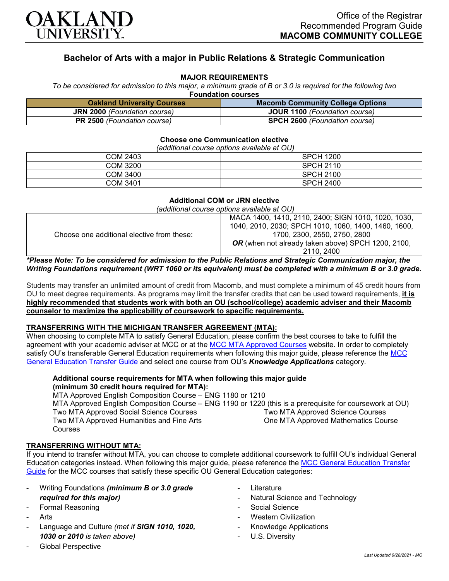

# **Bachelor of Arts with a major in Public Relations & Strategic Communication**

## **MAJOR REQUIREMENTS**

*To be considered for admission to this major, a minimum grade of B or 3.0 is required for the following two*  **Foundation courses**

| ı vanaanvn ovarsos                  |                                         |  |
|-------------------------------------|-----------------------------------------|--|
| <b>Oakland University Courses</b>   | <b>Macomb Community College Options</b> |  |
| <b>JRN 2000</b> (Foundation course) | <b>JOUR 1100</b> (Foundation course)    |  |
| <b>PR 2500</b> (Foundation course)  | <b>SPCH 2600</b> (Foundation course)    |  |

#### **Choose one Communication elective**

*(additional course options available at OU)*

| .               |                  |
|-----------------|------------------|
| <b>COM 2403</b> | <b>SPCH 1200</b> |
| COM 3200        | <b>SPCH 2110</b> |
| COM 3400        | <b>SPCH 2100</b> |
| <b>COM 3401</b> | <b>SPCH 2400</b> |

#### **Additional COM or JRN elective**

*(additional course options available at OU)*

| Choose one additional elective from these:                                                                     | MACA 1400, 1410, 2110, 2400; SIGN 1010, 1020, 1030,       |
|----------------------------------------------------------------------------------------------------------------|-----------------------------------------------------------|
|                                                                                                                | 1040, 2010, 2030; SPCH 1010, 1060, 1400, 1460, 1600,      |
|                                                                                                                | 1700, 2300, 2550, 2750, 2800                              |
|                                                                                                                | <b>OR</b> (when not already taken above) SPCH 1200, 2100, |
|                                                                                                                | 2110, 2400                                                |
| Anticol Middle To be considered for children to do the Bubble Belofone and Admirate Assuments does not to disc |                                                           |

#### *\*Please Note: To be considered for admission to the Public Relations and Strategic Communication major, the Writing Foundations requirement (WRT 1060 or its equivalent) must be completed with a minimum B or 3.0 grade.*

Students may transfer an unlimited amount of credit from Macomb, and must complete a minimum of 45 credit hours from OU to meet degree requirements. As programs may limit the transfer credits that can be used toward requirements, **it is highly recommended that students work with both an OU (school/college) academic adviser and their Macomb counselor to maximize the applicability of coursework to specific requirements.**

## **TRANSFERRING WITH THE MICHIGAN TRANSFER AGREEMENT (MTA):**

When choosing to complete MTA to satisfy General Education, please confirm the best courses to take to fulfill the agreement with your academic adviser at MCC or at the MCC [MTA Approved Courses](http://www.macomb.edu/resources/transfer-articulation/attachments/mta-macrao-course-list.pdf) website. In order to completely satisfy OU's transferable General Education requirements when following this major quide, please reference the MCC [General Education Transfer Guide](https://wwwp.oakland.edu/Assets/Oakland/program-guides/macomb-community-college/university-general-education-requirements/MCC%20Gen%20Ed.pdf) and select one course from OU's *Knowledge Applications* category.

## **Additional course requirements for MTA when following this major guide (minimum 30 credit hours required for MTA):**

MTA Approved English Composition Course – ENG 1180 or 1210 MTA Approved English Composition Course – ENG 1190 or 1220 (this is a prerequisite for coursework at OU) Two MTA Approved Social Science Courses Two MTA Approved Humanities and Fine Arts Courses Two MTA Approved Science Courses One MTA Approved Mathematics Course

## **TRANSFERRING WITHOUT MTA:**

If you intend to transfer without MTA, you can choose to complete additional coursework to fulfill OU's individual General Education categories instead. When following this major guide, please reference the [MCC General Education Transfer](https://wwwp.oakland.edu/Assets/Oakland/program-guides/macomb-community-college/university-general-education-requirements/MCC%20Gen%20Ed.pdf)  [Guide](https://wwwp.oakland.edu/Assets/Oakland/program-guides/macomb-community-college/university-general-education-requirements/MCC%20Gen%20Ed.pdf) for the MCC courses that satisfy these specific OU General Education categories:

- Writing Foundations *(minimum B or 3.0 grade required for this major)*
- Formal Reasoning
- **Arts**
- Language and Culture *(met if SIGN 1010, 1020, 1030 or 2010 is taken above)*
- Global Perspective
- **Literature**
- Natural Science and Technology
- Social Science
- Western Civilization
- Knowledge Applications
- U.S. Diversity